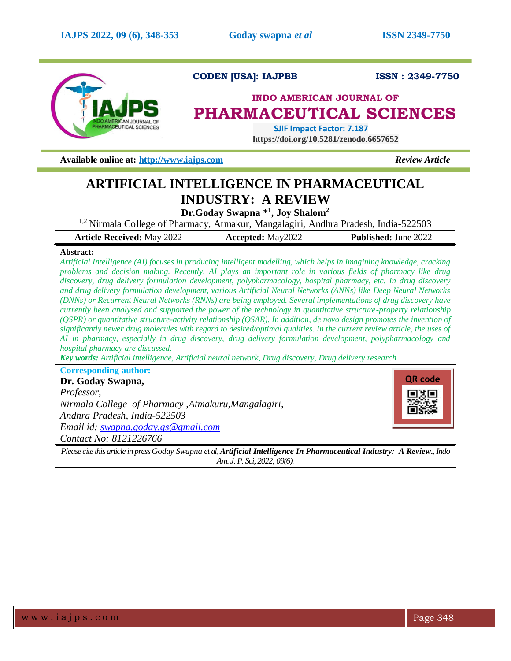

# **CODEN [USA]: IAJPBB ISSN : 2349-7750**

# **INDO AMERICAN JOURNAL OF PHARMACEUTICAL SCIENCES**

 **SJIF Impact Factor: 7.187 https://doi.org/10.5281/zenodo.6657652**

**Available online at: [http://www.iajps.com](http://www.iajps.com/)** *Review Article*

# **ARTIFICIAL INTELLIGENCE IN PHARMACEUTICAL INDUSTRY: A REVIEW**

**Dr.Goday Swapna \* 1 , Joy Shalom<sup>2</sup>**

<sup>1,2</sup> Nirmala College of Pharmacy, Atmakur, Mangalagiri, Andhra Pradesh, India-522503

| <b>Article Received: May 2022</b> | <b>Accepted:</b> May2022 | <b>Published: June 2022</b> |
|-----------------------------------|--------------------------|-----------------------------|
|-----------------------------------|--------------------------|-----------------------------|

## **Abstract:**

*Artificial Intelligence (AI) focuses in producing intelligent modelling, which helps in imagining knowledge, cracking problems and decision making. Recently, AI plays an important role in various fields of pharmacy like drug discovery, drug delivery formulation development, polypharmacology, hospital pharmacy, etc. In drug discovery and drug delivery formulation development, various Artificial Neural Networks (ANNs) like Deep Neural Networks (DNNs) or Recurrent Neural Networks (RNNs) are being employed. Several implementations of drug discovery have currently been analysed and supported the power of the technology in quantitative structure-property relationship (QSPR) or quantitative structure-activity relationship (QSAR). In addition, de novo design promotes the invention of significantly newer drug molecules with regard to desired/optimal qualities. In the current review article, the uses of AI in pharmacy, especially in drug discovery, drug delivery formulation development, polypharmacology and hospital pharmacy are discussed.*

*Key words: Artificial intelligence, Artificial neural network, Drug discovery, Drug delivery research*

# **Corresponding author:**

**Dr. Goday Swapna,** *Professor, Nirmala College of Pharmacy ,Atmakuru,Mangalagiri, Andhra Pradesh, India-522503 Email id: [swapna.goday.gs@gmail.com](mailto:swapna.goday.gs@gmail.com) Contact No: 8121226766*



*Please cite this article in press Goday Swapna et al,Artificial Intelligence In Pharmaceutical Industry: A Review., Indo Am. J. P. Sci, 2022; 09(6).*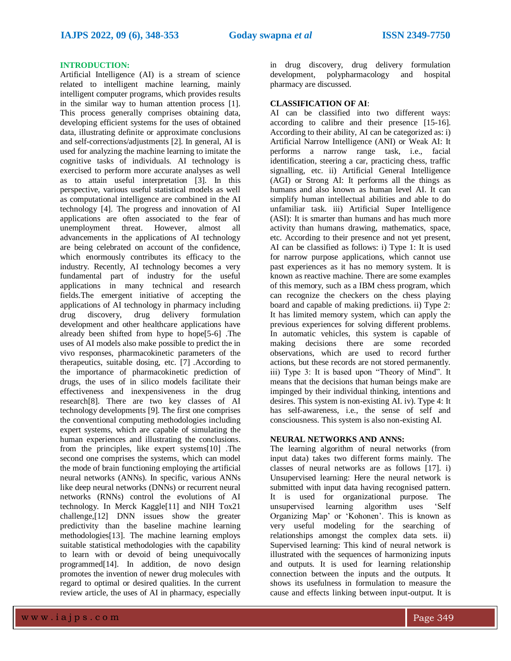# **INTRODUCTION:**

Artificial Intelligence (AI) is a stream of science related to intelligent machine learning, mainly intelligent computer programs, which provides results in the similar way to human attention process [1]. This process generally comprises obtaining data, developing efficient systems for the uses of obtained data, illustrating definite or approximate conclusions and self-corrections/adjustments [2]. In general, AI is used for analyzing the machine learning to imitate the cognitive tasks of individuals. AI technology is exercised to perform more accurate analyses as well as to attain useful interpretation [3]. In this perspective, various useful statistical models as well as computational intelligence are combined in the AI technology [4]. The progress and innovation of AI applications are often associated to the fear of unemployment threat. However, almost all advancements in the applications of AI technology are being celebrated on account of the confidence, which enormously contributes its efficacy to the industry. Recently, AI technology becomes a very fundamental part of industry for the useful applications in many technical and research fields.The emergent initiative of accepting the applications of AI technology in pharmacy including drug discovery, drug delivery formulation development and other healthcare applications have already been shifted from hype to hope[5-6] .The uses of AI models also make possible to predict the in vivo responses, pharmacokinetic parameters of the therapeutics, suitable dosing, etc. [7] .According to the importance of pharmacokinetic prediction of drugs, the uses of in silico models facilitate their effectiveness and inexpensiveness in the drug research[8]. There are two key classes of AI technology developments [9]. The first one comprises the conventional computing methodologies including expert systems, which are capable of simulating the human experiences and illustrating the conclusions. from the principles, like expert systems[10] .The second one comprises the systems, which can model the mode of brain functioning employing the artificial neural networks (ANNs). In specific, various ANNs like deep neural networks (DNNs) or recurrent neural networks (RNNs) control the evolutions of AI technology. In Merck Kaggle[11] and NIH Tox21 challenge,[12] DNN issues show the greater predictivity than the baseline machine learning methodologies[13]. The machine learning employs suitable statistical methodologies with the capability to learn with or devoid of being unequivocally programmed[14]. In addition, de novo design promotes the invention of newer drug molecules with regard to optimal or desired qualities. In the current review article, the uses of AI in pharmacy, especially

in drug discovery, drug delivery formulation development, polypharmacology and hospital pharmacy are discussed.

### **CLASSIFICATION OF AI**:

AI can be classified into two different ways: according to calibre and their presence [15-16]. According to their ability, AI can be categorized as: i) Artificial Narrow Intelligence (ANI) or Weak AI: It performs a narrow range task, i.e., facial identification, steering a car, practicing chess, traffic signalling, etc. ii) Artificial General Intelligence (AGI) or Strong AI: It performs all the things as humans and also known as human level AI. It can simplify human intellectual abilities and able to do unfamiliar task. iii) Artificial Super Intelligence (ASI): It is smarter than humans and has much more activity than humans drawing, mathematics, space, etc. According to their presence and not yet present, AI can be classified as follows: i) Type 1: It is used for narrow purpose applications, which cannot use past experiences as it has no memory system. It is known as reactive machine. There are some examples of this memory, such as a IBM chess program, which can recognize the checkers on the chess playing board and capable of making predictions. ii) Type 2: It has limited memory system, which can apply the previous experiences for solving different problems. In automatic vehicles, this system is capable of making decisions there are some recorded observations, which are used to record further actions, but these records are not stored permanently. iii) Type 3: It is based upon "Theory of Mind". It means that the decisions that human beings make are impinged by their individual thinking, intentions and desires. This system is non-existing AI. iv). Type 4: It has self-awareness, i.e., the sense of self and consciousness. This system is also non-existing AI.

#### **NEURAL NETWORKS AND ANNS:**

The learning algorithm of neural networks (from input data) takes two different forms mainly. The classes of neural networks are as follows [17]. i) Unsupervised learning: Here the neural network is submitted with input data having recognised pattern. It is used for organizational purpose. The unsupervised learning algorithm uses 'Self Organizing Map' or 'Kohonen'. This is known as very useful modeling for the searching of relationships amongst the complex data sets. ii) Supervised learning: This kind of neural network is illustrated with the sequences of harmonizing inputs and outputs. It is used for learning relationship connection between the inputs and the outputs. It shows its usefulness in formulation to measure the cause and effects linking between input-output. It is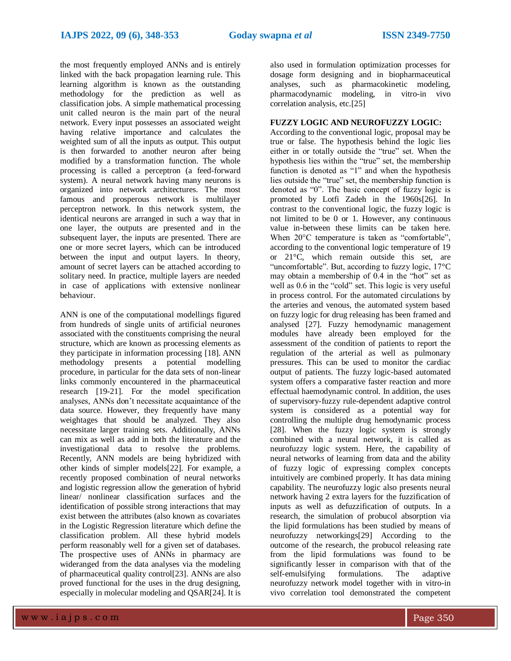the most frequently employed ANNs and is entirely linked with the back propagation learning rule. This learning algorithm is known as the outstanding methodology for the prediction as well as classification jobs. A simple mathematical processing unit called neuron is the main part of the neural network. Every input possesses an associated weight having relative importance and calculates the weighted sum of all the inputs as output. This output is then forwarded to another neuron after being modified by a transformation function. The whole processing is called a perceptron (a feed-forward system). A neural network having many neurons is organized into network architectures. The most famous and prosperous network is multilayer perceptron network. In this network system, the identical neurons are arranged in such a way that in one layer, the outputs are presented and in the subsequent layer, the inputs are presented. There are one or more secret layers, which can be introduced between the input and output layers. In theory, amount of secret layers can be attached according to solitary need. In practice, multiple layers are needed in case of applications with extensive nonlinear behaviour.

ANN is one of the computational modellings figured from hundreds of single units of artificial neurones associated with the constituents comprising the neural structure, which are known as processing elements as they participate in information processing [18]. ANN methodology presents a potential modelling procedure, in particular for the data sets of non-linear links commonly encountered in the pharmaceutical research [19-21]. For the model specification analyses, ANNs don't necessitate acquaintance of the data source. However, they frequently have many weightages that should be analyzed. They also necessitate larger training sets. Additionally, ANNs can mix as well as add in both the literature and the investigational data to resolve the problems. Recently, ANN models are being hybridized with other kinds of simpler models[22]. For example, a recently proposed combination of neural networks and logistic regression allow the generation of hybrid linear/ nonlinear classification surfaces and the identification of possible strong interactions that may exist between the attributes (also known as covariates in the Logistic Regression literature which define the classification problem. All these hybrid models perform reasonably well for a given set of databases. The prospective uses of ANNs in pharmacy are wideranged from the data analyses via the modeling of pharmaceutical quality control[23]. ANNs are also proved functional for the uses in the drug designing, especially in molecular modeling and QSAR[24]. It is

also used in formulation optimization processes for dosage form designing and in biopharmaceutical analyses, such as pharmacokinetic modeling, pharmacodynamic modeling, in vitro-in vivo correlation analysis, etc.[25]

## **FUZZY LOGIC AND NEUROFUZZY LOGIC:**

According to the conventional logic, proposal may be true or false. The hypothesis behind the logic lies either in or totally outside the "true" set. When the hypothesis lies within the "true" set, the membership function is denoted as "1" and when the hypothesis lies outside the "true" set, the membership function is denoted as "0". The basic concept of fuzzy logic is promoted by Lotfi Zadeh in the 1960s[26]. In contrast to the conventional logic, the fuzzy logic is not limited to be 0 or 1. However, any continuous value in-between these limits can be taken here. When  $20^{\circ}$ C temperature is taken as "comfortable", according to the conventional logic temperature of 19 or 21°C, which remain outside this set, are "uncomfortable". But, according to fuzzy logic, 17°C may obtain a membership of 0.4 in the "hot" set as well as 0.6 in the "cold" set. This logic is very useful in process control. For the automated circulations by the arteries and venous, the automated system based on fuzzy logic for drug releasing has been framed and analysed [27]. Fuzzy hemodynamic management modules have already been employed for the assessment of the condition of patients to report the regulation of the arterial as well as pulmonary pressures. This can be used to monitor the cardiac output of patients. The fuzzy logic-based automated system offers a comparative faster reaction and more effectual haemodynamic control. In addition, the uses of supervisory-fuzzy rule-dependent adaptive control system is considered as a potential way for controlling the multiple drug hemodynamic process [28]. When the fuzzy logic system is strongly combined with a neural network, it is called as neurofuzzy logic system. Here, the capability of neural networks of learning from data and the ability of fuzzy logic of expressing complex concepts intuitively are combined properly. It has data mining capability. The neurofuzzy logic also presents neural network having 2 extra layers for the fuzzification of inputs as well as defuzzification of outputs. In a research, the simulation of probucol absorption via the lipid formulations has been studied by means of neurofuzzy networkings[29] According to the outcome of the research, the probucol releasing rate from the lipid formulations was found to be significantly lesser in comparison with that of the self-emulsifying formulations. The adaptive self-emulsifying formulations. The adaptive neurofuzzy network model together with in vitro-in vivo correlation tool demonstrated the competent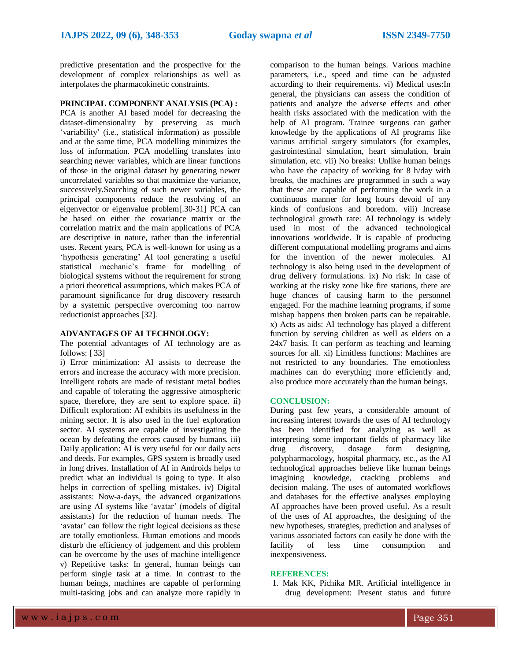predictive presentation and the prospective for the development of complex relationships as well as interpolates the pharmacokinetic constraints.

## **PRINCIPAL COMPONENT ANALYSIS (PCA) :**

PCA is another AI based model for decreasing the dataset-dimensionality by preserving as much 'variability' (i.e., statistical information) as possible and at the same time, PCA modelling minimizes the loss of information. PCA modelling translates into searching newer variables, which are linear functions of those in the original dataset by generating newer uncorrelated variables so that maximize the variance, successively.Searching of such newer variables, the principal components reduce the resolving of an eigenvector or eigenvalue problem[.30-31] PCA can be based on either the covariance matrix or the correlation matrix and the main applications of PCA are descriptive in nature, rather than the inferential uses. Recent years, PCA is well-known for using as a 'hypothesis generating' AI tool generating a useful statistical mechanic's frame for modelling of biological systems without the requirement for strong a priori theoretical assumptions, which makes PCA of paramount significance for drug discovery research by a systemic perspective overcoming too narrow reductionist approaches [32].

#### **ADVANTAGES OF AI TECHNOLOGY:**

The potential advantages of AI technology are as follows: [ 33]

i) Error minimization: AI assists to decrease the errors and increase the accuracy with more precision. Intelligent robots are made of resistant metal bodies and capable of tolerating the aggressive atmospheric space, therefore, they are sent to explore space. ii) Difficult exploration: AI exhibits its usefulness in the mining sector. It is also used in the fuel exploration sector. AI systems are capable of investigating the ocean by defeating the errors caused by humans. iii) Daily application: AI is very useful for our daily acts and deeds. For examples, GPS system is broadly used in long drives. Installation of AI in Androids helps to predict what an individual is going to type. It also helps in correction of spelling mistakes. iv) Digital assistants: Now-a-days, the advanced organizations are using AI systems like 'avatar' (models of digital assistants) for the reduction of human needs. The 'avatar' can follow the right logical decisions as these are totally emotionless. Human emotions and moods disturb the efficiency of judgement and this problem can be overcome by the uses of machine intelligence v) Repetitive tasks: In general, human beings can perform single task at a time. In contrast to the human beings, machines are capable of performing multi-tasking jobs and can analyze more rapidly in

comparison to the human beings. Various machine parameters, i.e., speed and time can be adjusted according to their requirements. vi) Medical uses:In general, the physicians can assess the condition of patients and analyze the adverse effects and other health risks associated with the medication with the help of AI program. Trainee surgeons can gather knowledge by the applications of AI programs like various artificial surgery simulators (for examples, gastrointestinal simulation, heart simulation, brain simulation, etc. vii) No breaks: Unlike human beings who have the capacity of working for 8 h/day with breaks, the machines are programmed in such a way that these are capable of performing the work in a continuous manner for long hours devoid of any kinds of confusions and boredom. viii) Increase technological growth rate: AI technology is widely used in most of the advanced technological innovations worldwide. It is capable of producing different computational modelling programs and aims for the invention of the newer molecules. AI technology is also being used in the development of drug delivery formulations. ix) No risk: In case of working at the risky zone like fire stations, there are huge chances of causing harm to the personnel engaged. For the machine learning programs, if some mishap happens then broken parts can be repairable. x) Acts as aids: AI technology has played a different function by serving children as well as elders on a 24x7 basis. It can perform as teaching and learning sources for all. xi) Limitless functions: Machines are not restricted to any boundaries. The emotionless machines can do everything more efficiently and, also produce more accurately than the human beings.

#### **CONCLUSION:**

During past few years, a considerable amount of increasing interest towards the uses of AI technology has been identified for analyzing as well as interpreting some important fields of pharmacy like drug discovery, dosage form designing, polypharmacology, hospital pharmacy, etc., as the AI technological approaches believe like human beings imagining knowledge, cracking problems and decision making. The uses of automated workflows and databases for the effective analyses employing AI approaches have been proved useful. As a result of the uses of AI approaches, the designing of the new hypotheses, strategies, prediction and analyses of various associated factors can easily be done with the facility of less time consumption and inexpensiveness.

#### **REFERENCES:**

1. Mak KK, Pichika MR. Artificial intelligence in drug development: Present status and future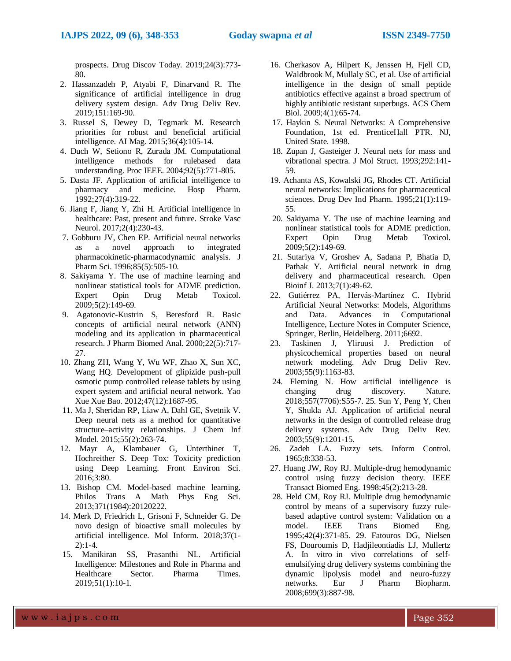prospects. Drug Discov Today. 2019;24(3):773- 80.

- 2. Hassanzadeh P, Atyabi F, Dinarvand R. The significance of artificial intelligence in drug delivery system design. Adv Drug Deliv Rev. 2019;151:169-90.
- 3. Russel S, Dewey D, Tegmark M. Research priorities for robust and beneficial artificial intelligence. AI Mag. 2015;36(4):105-14.
- 4. Duch W, Setiono R, Zurada JM. Computational intelligence methods for rulebased data understanding. Proc IEEE. 2004;92(5):771-805.
- 5. Dasta JF. Application of artificial intelligence to pharmacy and medicine. Hosp Pharm. 1992;27(4):319-22.
- 6. Jiang F, Jiang Y, Zhi H. Artificial intelligence in healthcare: Past, present and future. Stroke Vasc Neurol. 2017;2(4):230-43.
- 7. Gobburu JV, Chen EP. Artificial neural networks as a novel approach to integrated pharmacokinetic-pharmacodynamic analysis. J Pharm Sci. 1996;85(5):505-10.
- 8. Sakiyama Y. The use of machine learning and nonlinear statistical tools for ADME prediction. Expert Opin Drug Metab Toxicol. 2009;5(2):149-69.
- 9. Agatonovic-Kustrin S, Beresford R. Basic concepts of artificial neural network (ANN) modeling and its application in pharmaceutical research. J Pharm Biomed Anal. 2000;22(5):717- 27.
- 10. Zhang ZH, Wang Y, Wu WF, Zhao X, Sun XC, Wang HQ. Development of glipizide push-pull osmotic pump controlled release tablets by using expert system and artificial neural network. Yao Xue Xue Bao. 2012;47(12):1687-95.
- 11. Ma J, Sheridan RP, Liaw A, Dahl GE, Svetnik V. Deep neural nets as a method for quantitative structure–activity relationships. J Chem Inf Model. 2015;55(2):263-74.
- 12. Mayr A, Klambauer G, Unterthiner T, Hochreither S. Deep Tox: Toxicity prediction using Deep Learning. Front Environ Sci. 2016;3:80.
- 13. Bishop CM. Model-based machine learning. Philos Trans A Math Phys Eng Sci. 2013;371(1984):20120222.
- 14. Merk D, Friedrich L, Grisoni F, Schneider G. De novo design of bioactive small molecules by artificial intelligence. Mol Inform. 2018;37(1- 2):1-4.
- 15. Manikiran SS, Prasanthi NL. Artificial Intelligence: Milestones and Role in Pharma and Healthcare Sector. Pharma Times. 2019;51(1):10-1.
- 16. Cherkasov A, Hilpert K, Jenssen H, Fjell CD, Waldbrook M, Mullaly SC, et al. Use of artificial intelligence in the design of small peptide antibiotics effective against a broad spectrum of highly antibiotic resistant superbugs. ACS Chem Biol. 2009;4(1):65-74.
- 17. Haykin S. Neural Networks: A Comprehensive Foundation, 1st ed. PrenticeHall PTR. NJ, United State. 1998.
- 18. Zupan J, Gasteiger J. Neural nets for mass and vibrational spectra. J Mol Struct. 1993;292:141- 59.
- 19. Achanta AS, Kowalski JG, Rhodes CT. Artificial neural networks: Implications for pharmaceutical sciences. Drug Dev Ind Pharm. 1995;21(1):119- 55.
- 20. Sakiyama Y. The use of machine learning and nonlinear statistical tools for ADME prediction. Expert Opin Drug Metab Toxicol. 2009;5(2):149-69.
- 21. Sutariya V, Groshev A, Sadana P, Bhatia D, Pathak Y. Artificial neural network in drug delivery and pharmaceutical research. Open Bioinf J. 2013;7(1):49-62.
- 22. Gutiérrez PA, Hervás-Martínez C. Hybrid Artificial Neural Networks: Models, Algorithms and Data. Advances in Computational Intelligence, Lecture Notes in Computer Science, Springer, Berlin, Heidelberg. 2011;6692.
- 23. Taskinen J, Yliruusi J. Prediction of physicochemical properties based on neural network modeling. Adv Drug Deliv Rev. 2003;55(9):1163-83.
- 24. Fleming N. How artificial intelligence is changing drug discovery. Nature. 2018;557(7706):S55-7. 25. Sun Y, Peng Y, Chen Y, Shukla AJ. Application of artificial neural networks in the design of controlled release drug delivery systems. Adv Drug Deliv Rev. 2003;55(9):1201-15.
- 26. Zadeh LA. Fuzzy sets. Inform Control. 1965;8:338-53.
- 27. Huang JW, Roy RJ. Multiple-drug hemodynamic control using fuzzy decision theory. IEEE Transact Biomed Eng. 1998;45(2):213-28.
- 28. Held CM, Roy RJ. Multiple drug hemodynamic control by means of a supervisory fuzzy rulebased adaptive control system: Validation on a model. IEEE Trans Biomed Eng. 1995;42(4):371-85. 29. Fatouros DG, Nielsen FS, Douroumis D, Hadjileontiadis LJ, Mullertz A. In vitro–in vivo correlations of selfemulsifying drug delivery systems combining the dynamic lipolysis model and neuro-fuzzy networks. Eur J Pharm Biopharm. 2008;699(3):887-98.